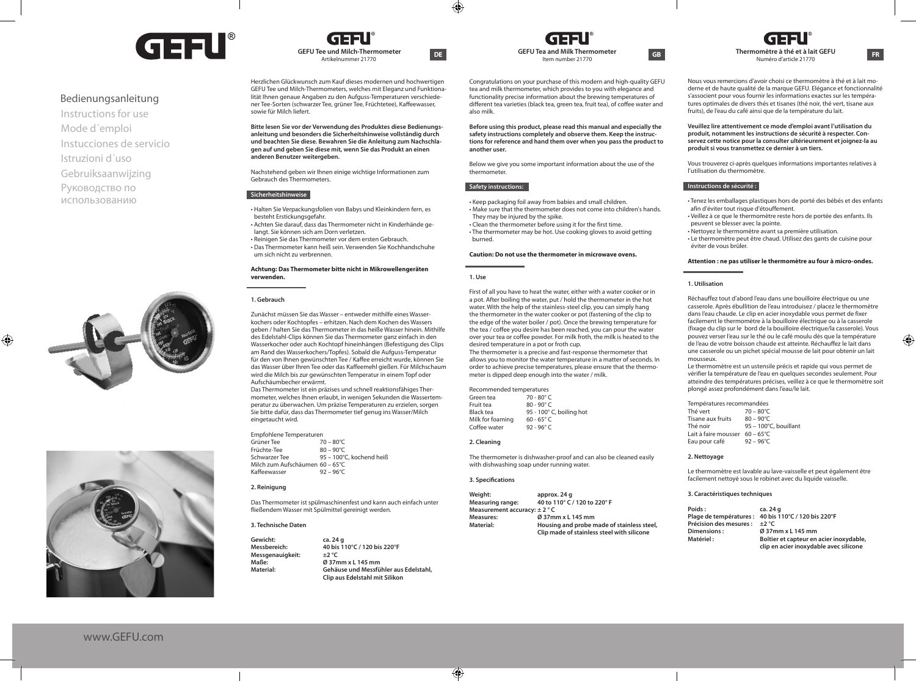

# Bedienungsanleitung

Instructions for use Mode d´emploi Instucciones de servicio Gebruiksaanwijzing Istruzioni d´uso Руководство по использованию



◈



www.GEFU.com



Herzlichen Glückwunsch zum Kauf dieses modernen und hochwertigen GEFU Tee und Milch-Thermometers, welches mit Eleganz und Funktionalität Ihnen genaue Angaben zu den Aufguss-Temperaturen verschiedener Tee-Sorten (schwarzer Tee, grüner Tee, Früchtetee), Kaffeewasser, sowie für Milch liefert.

**Bitte lesen Sie vor der Verwendung des Produktes diese Bedienungsanleitung und besonders die Sicherheitshinweise vollständig durch und beachten Sie diese. Bewahren Sie die Anleitung zum Nachschlagen auf und geben Sie diese mit, wenn Sie das Produkt an einen anderen Benutzer weitergeben.**

Nachstehend geben wir Ihnen einige wichtige Informationen zum Gebrauch des Thermometers.

# **Sicherheitshinweise**

- Halten Sie Verpackungsfolien von Babys und Kleinkindern fern, es besteht Erstickungsgefahr.
- Achten Sie darauf, dass das Thermometer nicht in Kinderhände gelangt. Sie können sich am Dorn verletzen. • Reinigen Sie das Thermometer vor dem ersten Gebrauch.

• Das Thermometer kann heiß sein. Verwenden Sie Kochhandschuhe um sich nicht zu verbrennen.

#### **Achtung: Das Thermometer bitte nicht in Mikrowellengeräten verwenden.**

#### **1. Gebrauch**

 Zunächst müssen Sie das Wasser – entweder mithilfe eines Wasserkochers oder Kochtopfes – erhitzen. Nach dem Kochen des Wassers geben / halten Sie das Thermometer in das heiße Wasser hinein. Mithilfe des Edelstahl-Clips können Sie das Thermometer ganz einfach in den Wasserkocher oder auch Kochtopf hineinhängen (Befestigung des Clips am Rand des Wasserkochers/Topfes). Sobald die Aufguss-Temperatur für den von Ihnen gewünschten Tee / Kaffee erreicht wurde, können Sie das Wasser über Ihren Tee oder das Kaffeemehl gießen. Für Milchschaum wird die Milch bis zur gewünschten Temperatur in einem Topf oder Aufschäumbecher erwärmt.

Das Thermometer ist ein präzises und schnell reaktionsfähiges Thermometer, welches Ihnen erlaubt, in wenigen Sekunden die Wassertemperatur zu überwachen. Um präzise Temperaturen zu erzielen, sorgen Sie bitte dafür, dass das Thermometer tief genug ins Wasser/Milch eingetaucht wird.

#### Empfohlene Temperaturen<br>Grüner Tee 170 – 80°C Grüner Tee

| Früchte-Tee                     | $80 - 90^{\circ}$ C      |
|---------------------------------|--------------------------|
| Schwarzer Tee                   | 95 - 100°C, kochend heiß |
| Milch zum Aufschäumen 60 – 65°C |                          |
| Kaffeewasser                    | $92 - 96^{\circ}$ C      |
|                                 |                          |

#### **2. Reinigung**

Das Thermometer ist spülmaschinenfest und kann auch einfach unter fließendem Wasser mit Spülmittel gereinigt werden.

**Messbereich: 40 bis 110°C / 120 bis 220°F**

**Material: Gehäuse und Messfühler aus Edelstahl, Clip aus Edelstahl mit Silikon** 

## **3. Technische Daten**

**Gewicht: ca. 24 g**  $M$ essgenauigkeit:<br>Maße: **Maße: Ø 37mm x L 145 mm**

daal Item number 21770

Congratulations on your purchase of this modern and high-quality GEFU tea and milk thermometer, which provides to you with elegance and functionality precise information about the brewing temperatures of different tea varieties (black tea, green tea, fruit tea), of coffee water and also milk.

**Before using this product, please read this manual and especially the safety instructions completely and observe them. Keep the instructions for reference and hand them over when you pass the product to another user.**

Below we give you some important information about the use of the thermometer.

#### **Safety instructions:**

• Keep packaging foil away from babies and small children. • Make sure that the thermometer does not come into children's hands. They may be injured by the spike.

• Clean the thermometer before using it for the first time. • The thermometer may be hot. Use cooking gloves to avoid getting

# burned.

# **Caution: Do not use the thermometer in microwave ovens.**

#### **1. Use**

 $\bigcirc$ 

First of all you have to heat the water, either with a water cooker or in a pot. After boiling the water, put / hold the thermometer in the hot water. With the help of the stainless-steel clip, you can simply hang the thermometer in the water cooker or pot (fastening of the clip to the edge of the water boiler / pot). Once the brewing temperature for the tea / coffee you desire has been reached, you can pour the water over your tea or coffee powder. For milk froth, the milk is heated to the desired temperature in a pot or froth cup. The thermometer is a precise and fast-response thermometer that allows you to monitor the water temperature in a matter of seconds. In order to achieve precise temperatures, please ensure that the thermometer is dipped deep enough into the water / milk.

Recommended temperatures<br>Green tea 70 - 80° C Green tea<br>Eruit tea Fruit tea  $80 - 90^\circ \text{ C}$ <br>Black tea  $95 - 100^\circ \text{ C}$ 95 - 100° C, boiling hot<br>60 - 65° C Milk for foaming 60 - 65° C<br>Coffee water 92 - 96° C Coffee water

#### **2. Cleaning**

The thermometer is dishwasher-proof and can also be cleaned easily with dishwashing soap under running water.

#### **3. Specifications**

 $\bigcirc$ 

Weight: approx. 24 g<br>Measuring range: 40 to 110° C/ **Measuring range: 40 to 110° C / 120 to 220° F Measurement accuracy: ± 2 ° C Measures:**  $\oslash$  **Ø** 37mm x L 145 mm<br> **Material:** Housing and probe n **Material: Housing and probe made of stainless steel, Clip made of stainless steel with silicone** 

**GEFU Tea and Milk Thermometer GB GEFU Thermometer CGB Thermometer CGB Thermometer CGB FR Thermomètre à thé et à lait GEFU** Numéro d'article 21770

> Nous vous remercions d'avoir choisi ce thermomètre à thé et à lait moderne et de haute qualité de la marque GEFU. Elégance et fonctionnalité s'associent pour vous fournir les informations exactes sur les températures optimales de divers thés et tisanes (thé noir, thé vert, tisane aux fruits), de l'eau du café ainsi que de la température du lait.

**Veuillez lire attentivement ce mode d'emploi avant l'utilisation du produit, notamment les instructions de sécurité à respecter. Conservez cette notice pour la consulter ultérieurement et joignez-la au produit si vous transmettez ce dernier à un tiers.**

**Safety instructions:** Vous trouverez ci-après quelques informations importantes relatives à l'utilisation du thermomètre.

#### **Instructions de sécurité :**

- Tenez les emballages plastiques hors de porté des bébés et des enfants afin d'éviter tout risque d'étouffement.
- Veillez à ce que le thermomètre reste hors de portée des enfants. Ils peuvent se blesser avec la pointe.
- Nettoyez le thermomètre avant sa première utilisation.

• Le thermomètre peut être chaud. Utilisez des gants de cuisine pour éviter de vous brûler.

#### **Attention : ne pas utiliser le thermomètre au four à micro-ondes.**

#### **1. Utilisation**

 Réchauffez tout d'abord l'eau dans une bouilloire électrique ou une casserole. Après ébullition de l'eau introduisez / placez le thermomètre dans l'eau chaude. Le clip en acier inoxydable vous permet de fixer facilement le thermomètre à la bouilloire électrique ou à la casserole (fixage du clip sur le bord de la bouilloire électrique/la casserole). Vous pouvez verser l'eau sur le thé ou le café moulu dès que la température de l'eau de votre boisson chaude est atteinte. Réchauffez le lait dans une casserole ou un pichet spécial mousse de lait pour obtenir un lait mousseux.

Le thermomètre est un ustensile précis et rapide qui vous permet de vérifier la température de l'eau en quelques secondes seulement. Pour atteindre des températures précises, veillez à ce que le thermomètre soit plongé assez profondément dans l'eau/le lait.

| Températures recommandées                |                       |  |
|------------------------------------------|-----------------------|--|
| Thé vert                                 | $70 - 80^{\circ}$ C   |  |
| Tisane aux fruits                        | $80 - 90^{\circ}$ C   |  |
| Thé noir                                 | 95 - 100°C, bouillant |  |
| Lait à faire mousser $60 - 65^{\circ}$ C |                       |  |
| Eau pour café                            | $92 - 96^{\circ}$ C   |  |

### **2. Nettoyage**

Le thermomètre est lavable au lave-vaisselle et peut également être facilement nettoyé sous le robinet avec du liquide vaisselle.

#### **3. Caractéristiques techniques**

| Poids:                                   | ca. 24 g                                             |
|------------------------------------------|------------------------------------------------------|
|                                          | Plage de températures : 40 bis 110°C / 120 bis 220°F |
| Précision des mesures : $\pm 2^{\circ}C$ |                                                      |
| Dimensions:                              | Ø 37mm x L 145 mm                                    |
| Matériel :                               | Boîtier et capteur en acier inoxydable,              |
|                                          | clip en acier inoxydable avec silicone               |

◈